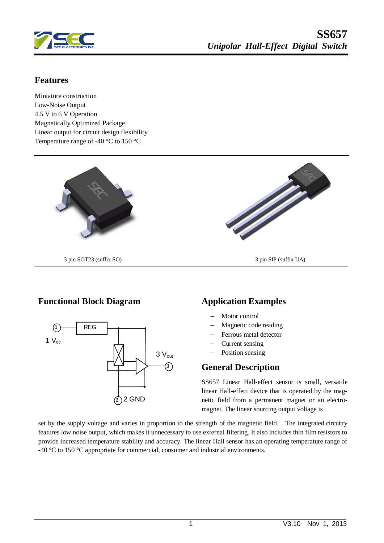

## **Features**

Miniature construction Low-Noise Output 4.5 V to 6 V Operation Magnetically Optimized Package Linear output for circuit design flexibility Temperature range of -40 °C to 150 °C



## **Functional Block Diagram Application Examples**



- Motor control
- Magnetic code reading
- Ferrous metal detector
- Current sensing
- Position sensing

## **General Description**

SS657 Linear Hall-effect sensor is small, versatile linear Hall-effect device that is operated by the magnetic field from a permanent magnet or an electromagnet. The linear sourcing output voltage is

set by the supply voltage and varies in proportion to the strength of the magnetic field. The integrated circuitry features low noise output, which makes it unnecessary to use external filtering. It also includes thin film resistors to provide increased temperature stability and accuracy. The linear Hall sensor has an operating temperature range of -40  $\degree$ C to 150  $\degree$ C appropriate for commercial, consumer and industrial environments.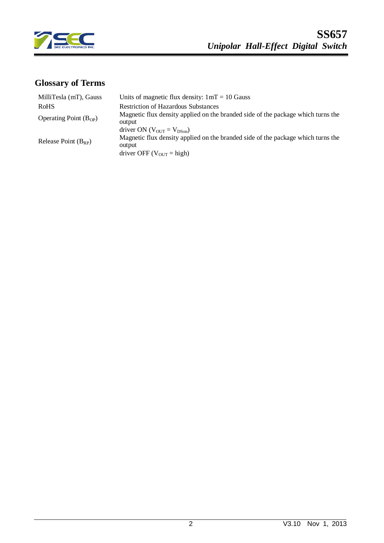

# **Glossary of Terms**

| MilliTesla (mT), Gauss<br><b>RoHS</b> | Units of magnetic flux density: $1mT = 10$ Gauss<br><b>Restriction of Hazardous Substances</b>                                                                                          |
|---------------------------------------|-----------------------------------------------------------------------------------------------------------------------------------------------------------------------------------------|
| Operating Point $(B_{OP})$            | Magnetic flux density applied on the branded side of the package which turns the<br>output                                                                                              |
| Release Point $(B_{RP})$              | driver ON ( $V_{\text{OUT}} = V_{\text{DSon}}$ )<br>Magnetic flux density applied on the branded side of the package which turns the<br>output<br>driver OFF ( $V_{\text{OUT}}$ = high) |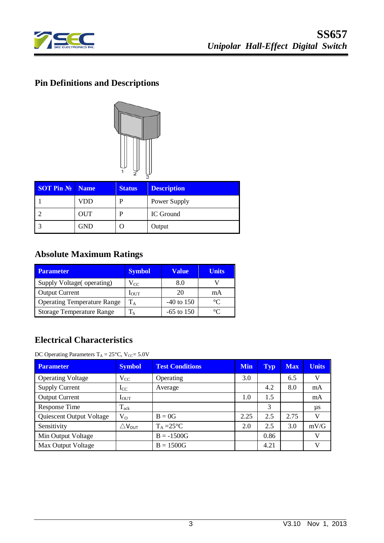

# **Pin Definitions and Descriptions**



| <b>SOT Pin No</b> | Name       | <b>Status</b> | <b>Description</b> |
|-------------------|------------|---------------|--------------------|
|                   | VDD        |               | Power Supply       |
|                   | <b>OUT</b> |               | IC Ground          |
|                   | GND        |               | Output             |

# **Absolute Maximum Ratings**

| <b>Parameter</b>                   | <b>Symbol</b> | Value        | <b>Units</b> |
|------------------------------------|---------------|--------------|--------------|
| Supply Voltage(operating)          | $V_{CC}$      | 8.0          |              |
| <b>Output Current</b>              | $1$ OUT       | 20           | mA           |
| <b>Operating Temperature Range</b> | $T_A$         | $-40$ to 150 | $\circ$      |
| <b>Storage Temperature Range</b>   | $\rm T_S$     | $-65$ to 150 | $^{\circ}C$  |

## **Electrical Characteristics**

DC Operating Parameters  $T_A = 25^{\circ}$ C, V<sub>CC</sub>= 5.0V

| <b>Parameter</b>         | <b>Symbol</b>          | <b>Test Conditions</b> | <b>Min</b> | <b>Typ</b> | <b>Max</b> | <b>Units</b> |
|--------------------------|------------------------|------------------------|------------|------------|------------|--------------|
| <b>Operating Voltage</b> | $V_{CC}$               | Operating              | 3.0        |            | 6.5        | V            |
| <b>Supply Current</b>    | $_{\rm{LC}}$           | Average                |            | 4.2        | 8.0        | mA           |
| <b>Output Current</b>    | $I_{\text{OUT}}$       |                        | 1.0        | 1.5        |            | mA           |
| Response Time            | $T_{ack}$              |                        |            | 3          |            | $\mu s$      |
| Quiescent Output Voltage | $V_{O}$                | $B = 0G$               | 2.25       | 2.5        | 2.75       | V            |
| Sensitivity              | $\triangle\rm V_{OUT}$ | $T_A = 25$ °C          | 2.0        | 2.5        | 3.0        | mV/G         |
| Min Output Voltage       |                        | $B = -1500G$           |            | 0.86       |            | V            |
| Max Output Voltage       |                        | $B = 1500G$            |            | 4.21       |            | V            |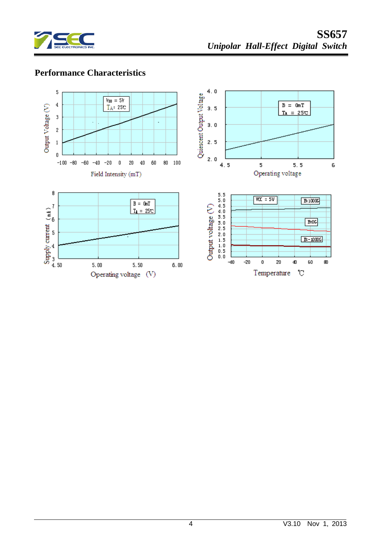

## **Performance Characteristics**

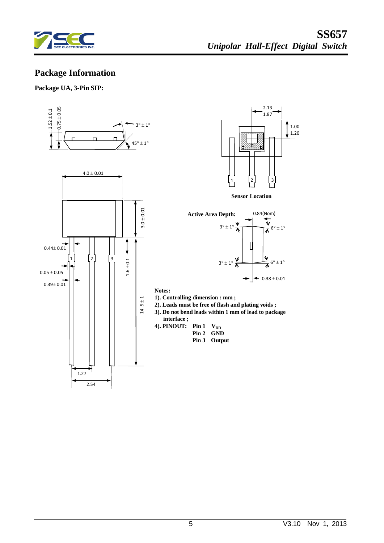

## **Package Information**

#### **Package UA, 3-Pin SIP:**